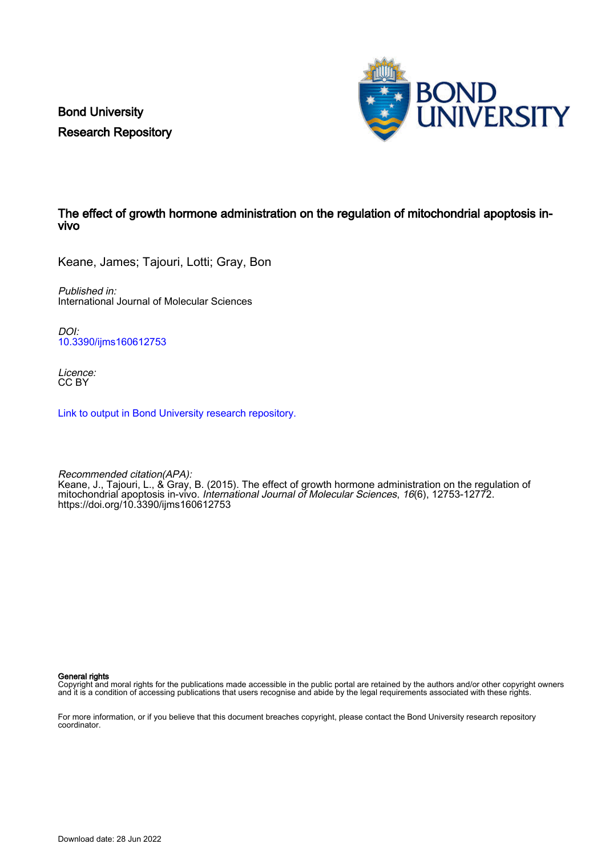Bond University Research Repository



# The effect of growth hormone administration on the regulation of mitochondrial apoptosis invivo

Keane, James; Tajouri, Lotti; Gray, Bon

Published in: International Journal of Molecular Sciences

DOI: [10.3390/ijms160612753](https://doi.org/10.3390/ijms160612753)

Licence: CC BY

[Link to output in Bond University research repository.](https://research.bond.edu.au/en/publications/0dc23ad3-0dc9-4fc2-9585-f764ae6683a8)

Recommended citation(APA): Keane, J., Tajouri, L., & Gray, B. (2015). The effect of growth hormone administration on the regulation of mitochondrial apoptosis in-vivo. International Journal of Molecular Sciences, 16(6), 12753-12772. <https://doi.org/10.3390/ijms160612753>

General rights

Copyright and moral rights for the publications made accessible in the public portal are retained by the authors and/or other copyright owners and it is a condition of accessing publications that users recognise and abide by the legal requirements associated with these rights.

For more information, or if you believe that this document breaches copyright, please contact the Bond University research repository coordinator.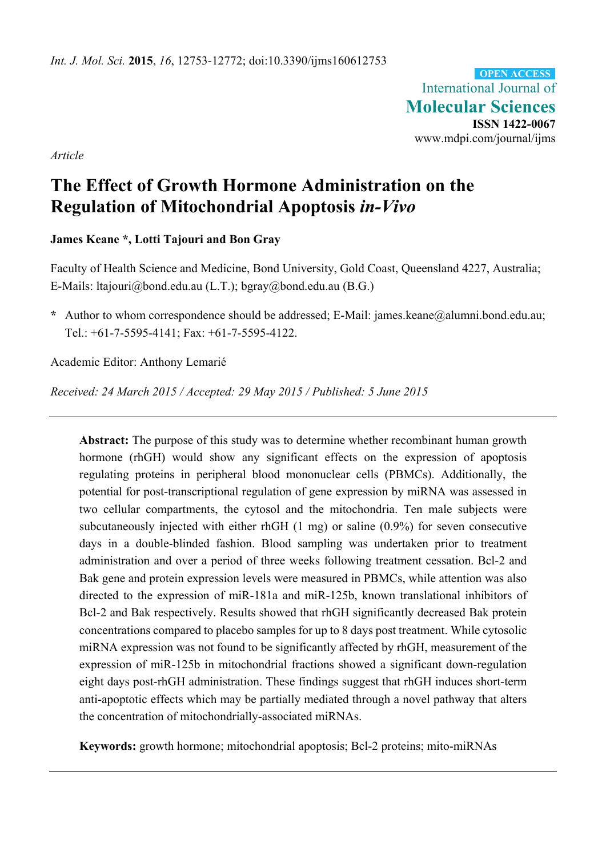International Journal of **Molecular Sciences ISSN 1422-0067**  www.mdpi.com/journal/ijms **OPEN ACCESS**

*Article* 

# **The Effect of Growth Hormone Administration on the Regulation of Mitochondrial Apoptosis** *in-Vivo*

**James Keane \*, Lotti Tajouri and Bon Gray** 

Faculty of Health Science and Medicine, Bond University, Gold Coast, Queensland 4227, Australia; E-Mails: ltajouri@bond.edu.au (L.T.); bgray@bond.edu.au (B.G.)

**\*** Author to whom correspondence should be addressed; E-Mail: james.keane@alumni.bond.edu.au; Tel.: +61-7-5595-4141; Fax: +61-7-5595-4122.

Academic Editor: Anthony Lemarié

*Received: 24 March 2015 / Accepted: 29 May 2015 / Published: 5 June 2015* 

**Abstract:** The purpose of this study was to determine whether recombinant human growth hormone (rhGH) would show any significant effects on the expression of apoptosis regulating proteins in peripheral blood mononuclear cells (PBMCs). Additionally, the potential for post-transcriptional regulation of gene expression by miRNA was assessed in two cellular compartments, the cytosol and the mitochondria. Ten male subjects were subcutaneously injected with either rhGH (1 mg) or saline (0.9%) for seven consecutive days in a double-blinded fashion. Blood sampling was undertaken prior to treatment administration and over a period of three weeks following treatment cessation. Bcl-2 and Bak gene and protein expression levels were measured in PBMCs, while attention was also directed to the expression of miR-181a and miR-125b, known translational inhibitors of Bcl-2 and Bak respectively. Results showed that rhGH significantly decreased Bak protein concentrations compared to placebo samples for up to 8 days post treatment. While cytosolic miRNA expression was not found to be significantly affected by rhGH, measurement of the expression of miR-125b in mitochondrial fractions showed a significant down-regulation eight days post-rhGH administration. These findings suggest that rhGH induces short-term anti-apoptotic effects which may be partially mediated through a novel pathway that alters the concentration of mitochondrially-associated miRNAs.

**Keywords:** growth hormone; mitochondrial apoptosis; Bcl-2 proteins; mito-miRNAs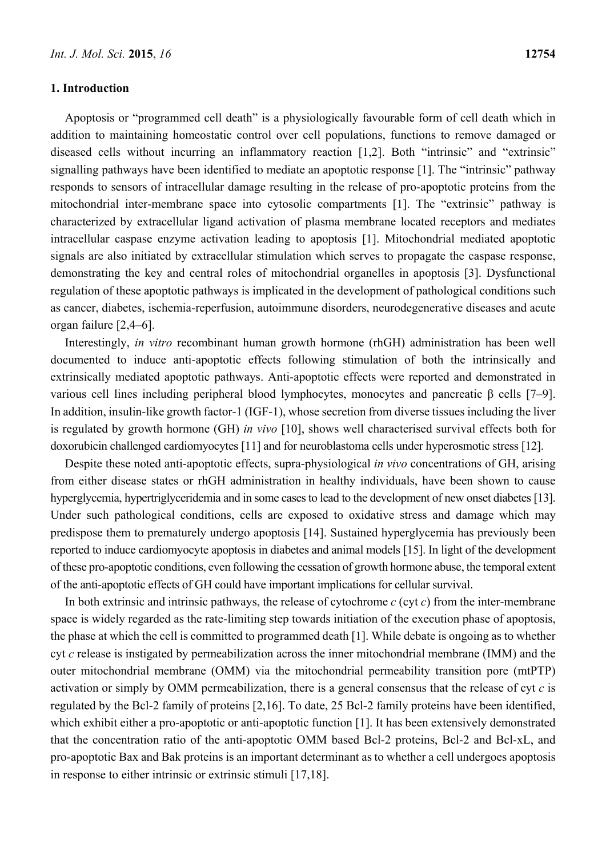#### **1. Introduction**

Apoptosis or "programmed cell death" is a physiologically favourable form of cell death which in addition to maintaining homeostatic control over cell populations, functions to remove damaged or diseased cells without incurring an inflammatory reaction [1,2]. Both "intrinsic" and "extrinsic" signalling pathways have been identified to mediate an apoptotic response [1]. The "intrinsic" pathway responds to sensors of intracellular damage resulting in the release of pro-apoptotic proteins from the mitochondrial inter-membrane space into cytosolic compartments [1]. The "extrinsic" pathway is characterized by extracellular ligand activation of plasma membrane located receptors and mediates intracellular caspase enzyme activation leading to apoptosis [1]. Mitochondrial mediated apoptotic signals are also initiated by extracellular stimulation which serves to propagate the caspase response, demonstrating the key and central roles of mitochondrial organelles in apoptosis [3]. Dysfunctional regulation of these apoptotic pathways is implicated in the development of pathological conditions such as cancer, diabetes, ischemia-reperfusion, autoimmune disorders, neurodegenerative diseases and acute organ failure [2,4–6].

Interestingly, *in vitro* recombinant human growth hormone (rhGH) administration has been well documented to induce anti-apoptotic effects following stimulation of both the intrinsically and extrinsically mediated apoptotic pathways. Anti-apoptotic effects were reported and demonstrated in various cell lines including peripheral blood lymphocytes, monocytes and pancreatic β cells [7–9]. In addition, insulin-like growth factor-1 (IGF-1), whose secretion from diverse tissues including the liver is regulated by growth hormone (GH) *in vivo* [10], shows well characterised survival effects both for doxorubicin challenged cardiomyocytes [11] and for neuroblastoma cells under hyperosmotic stress [12].

Despite these noted anti-apoptotic effects, supra-physiological *in vivo* concentrations of GH, arising from either disease states or rhGH administration in healthy individuals, have been shown to cause hyperglycemia, hypertriglyceridemia and in some cases to lead to the development of new onset diabetes [13]. Under such pathological conditions, cells are exposed to oxidative stress and damage which may predispose them to prematurely undergo apoptosis [14]. Sustained hyperglycemia has previously been reported to induce cardiomyocyte apoptosis in diabetes and animal models [15]. In light of the development of these pro-apoptotic conditions, even following the cessation of growth hormone abuse, the temporal extent of the anti-apoptotic effects of GH could have important implications for cellular survival.

In both extrinsic and intrinsic pathways, the release of cytochrome *c* (cyt *c*) from the inter-membrane space is widely regarded as the rate-limiting step towards initiation of the execution phase of apoptosis, the phase at which the cell is committed to programmed death [1]. While debate is ongoing as to whether cyt *c* release is instigated by permeabilization across the inner mitochondrial membrane (IMM) and the outer mitochondrial membrane (OMM) via the mitochondrial permeability transition pore (mtPTP) activation or simply by OMM permeabilization, there is a general consensus that the release of cyt *c* is regulated by the Bcl-2 family of proteins [2,16]. To date, 25 Bcl-2 family proteins have been identified, which exhibit either a pro-apoptotic or anti-apoptotic function [1]. It has been extensively demonstrated that the concentration ratio of the anti-apoptotic OMM based Bcl-2 proteins, Bcl-2 and Bcl-xL, and pro-apoptotic Bax and Bak proteins is an important determinant as to whether a cell undergoes apoptosis in response to either intrinsic or extrinsic stimuli [17,18].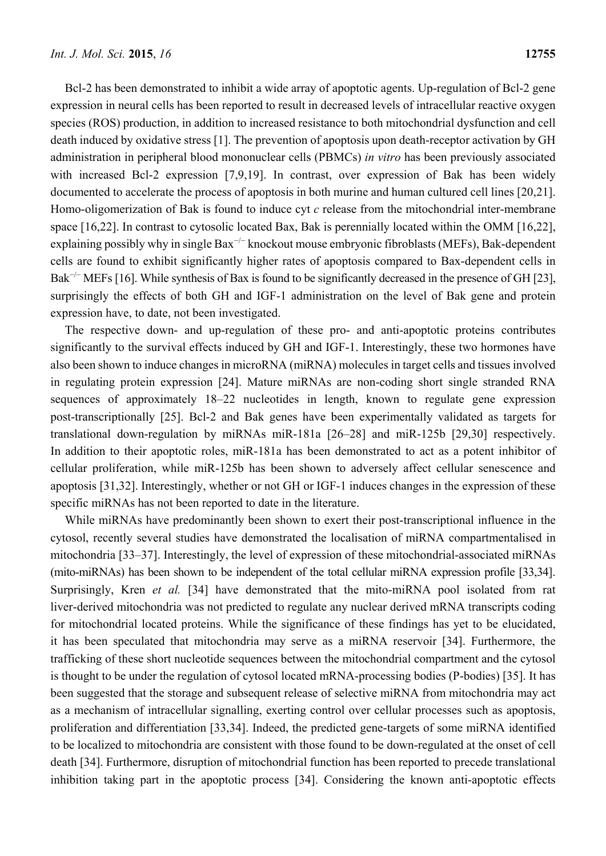Bcl-2 has been demonstrated to inhibit a wide array of apoptotic agents. Up-regulation of Bcl-2 gene expression in neural cells has been reported to result in decreased levels of intracellular reactive oxygen species (ROS) production, in addition to increased resistance to both mitochondrial dysfunction and cell death induced by oxidative stress [1]. The prevention of apoptosis upon death-receptor activation by GH administration in peripheral blood mononuclear cells (PBMCs) *in vitro* has been previously associated with increased Bcl-2 expression [7,9,19]. In contrast, over expression of Bak has been widely documented to accelerate the process of apoptosis in both murine and human cultured cell lines [20,21]. Homo-oligomerization of Bak is found to induce cyt *c* release from the mitochondrial inter-membrane space [16,22]. In contrast to cytosolic located Bax, Bak is perennially located within the OMM [16,22], explaining possibly why in single Bax<sup>-/−</sup> knockout mouse embryonic fibroblasts (MEFs), Bak-dependent cells are found to exhibit significantly higher rates of apoptosis compared to Bax-dependent cells in Bak<sup>-/−</sup> MEFs [16]. While synthesis of Bax is found to be significantly decreased in the presence of GH [23], surprisingly the effects of both GH and IGF-1 administration on the level of Bak gene and protein expression have, to date, not been investigated.

The respective down- and up-regulation of these pro- and anti-apoptotic proteins contributes significantly to the survival effects induced by GH and IGF-1. Interestingly, these two hormones have also been shown to induce changes in microRNA (miRNA) molecules in target cells and tissues involved in regulating protein expression [24]. Mature miRNAs are non-coding short single stranded RNA sequences of approximately 18–22 nucleotides in length, known to regulate gene expression post-transcriptionally [25]. Bcl-2 and Bak genes have been experimentally validated as targets for translational down-regulation by miRNAs miR-181a [26–28] and miR-125b [29,30] respectively. In addition to their apoptotic roles, miR-181a has been demonstrated to act as a potent inhibitor of cellular proliferation, while miR-125b has been shown to adversely affect cellular senescence and apoptosis [31,32]. Interestingly, whether or not GH or IGF-1 induces changes in the expression of these specific miRNAs has not been reported to date in the literature.

While miRNAs have predominantly been shown to exert their post-transcriptional influence in the cytosol, recently several studies have demonstrated the localisation of miRNA compartmentalised in mitochondria [33–37]. Interestingly, the level of expression of these mitochondrial-associated miRNAs (mito-miRNAs) has been shown to be independent of the total cellular miRNA expression profile [33,34]. Surprisingly, Kren *et al.* [34] have demonstrated that the mito-miRNA pool isolated from rat liver-derived mitochondria was not predicted to regulate any nuclear derived mRNA transcripts coding for mitochondrial located proteins. While the significance of these findings has yet to be elucidated, it has been speculated that mitochondria may serve as a miRNA reservoir [34]. Furthermore, the trafficking of these short nucleotide sequences between the mitochondrial compartment and the cytosol is thought to be under the regulation of cytosol located mRNA-processing bodies (P-bodies) [35]. It has been suggested that the storage and subsequent release of selective miRNA from mitochondria may act as a mechanism of intracellular signalling, exerting control over cellular processes such as apoptosis, proliferation and differentiation [33,34]. Indeed, the predicted gene-targets of some miRNA identified to be localized to mitochondria are consistent with those found to be down-regulated at the onset of cell death [34]. Furthermore, disruption of mitochondrial function has been reported to precede translational inhibition taking part in the apoptotic process [34]. Considering the known anti-apoptotic effects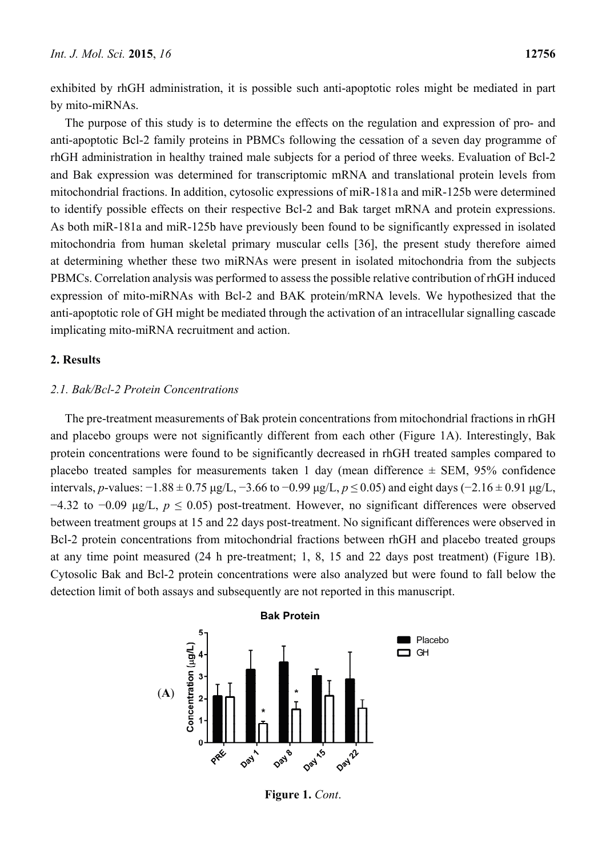exhibited by rhGH administration, it is possible such anti-apoptotic roles might be mediated in part by mito-miRNAs.

The purpose of this study is to determine the effects on the regulation and expression of pro- and anti-apoptotic Bcl-2 family proteins in PBMCs following the cessation of a seven day programme of rhGH administration in healthy trained male subjects for a period of three weeks. Evaluation of Bcl-2 and Bak expression was determined for transcriptomic mRNA and translational protein levels from mitochondrial fractions. In addition, cytosolic expressions of miR-181a and miR-125b were determined to identify possible effects on their respective Bcl-2 and Bak target mRNA and protein expressions. As both miR-181a and miR-125b have previously been found to be significantly expressed in isolated mitochondria from human skeletal primary muscular cells [36], the present study therefore aimed at determining whether these two miRNAs were present in isolated mitochondria from the subjects PBMCs. Correlation analysis was performed to assess the possible relative contribution of rhGH induced expression of mito-miRNAs with Bcl-2 and BAK protein/mRNA levels. We hypothesized that the anti-apoptotic role of GH might be mediated through the activation of an intracellular signalling cascade implicating mito-miRNA recruitment and action.

# **2. Results**

## *2.1. Bak/Bcl-2 Protein Concentrations*

The pre-treatment measurements of Bak protein concentrations from mitochondrial fractions in rhGH and placebo groups were not significantly different from each other (Figure 1A). Interestingly, Bak protein concentrations were found to be significantly decreased in rhGH treated samples compared to placebo treated samples for measurements taken 1 day (mean difference  $\pm$  SEM, 95% confidence intervals, *p*-values: −1.88 ± 0.75 μg/L, −3.66 to −0.99 μg/L, *p* ≤ 0.05) and eight days (−2.16 ± 0.91 μg/L, −4.32 to −0.09 μg/L, *p* ≤ 0.05) post-treatment. However, no significant differences were observed between treatment groups at 15 and 22 days post-treatment. No significant differences were observed in Bcl-2 protein concentrations from mitochondrial fractions between rhGH and placebo treated groups at any time point measured (24 h pre-treatment; 1, 8, 15 and 22 days post treatment) (Figure 1B). Cytosolic Bak and Bcl-2 protein concentrations were also analyzed but were found to fall below the detection limit of both assays and subsequently are not reported in this manuscript.



**Figure 1.** *Cont*.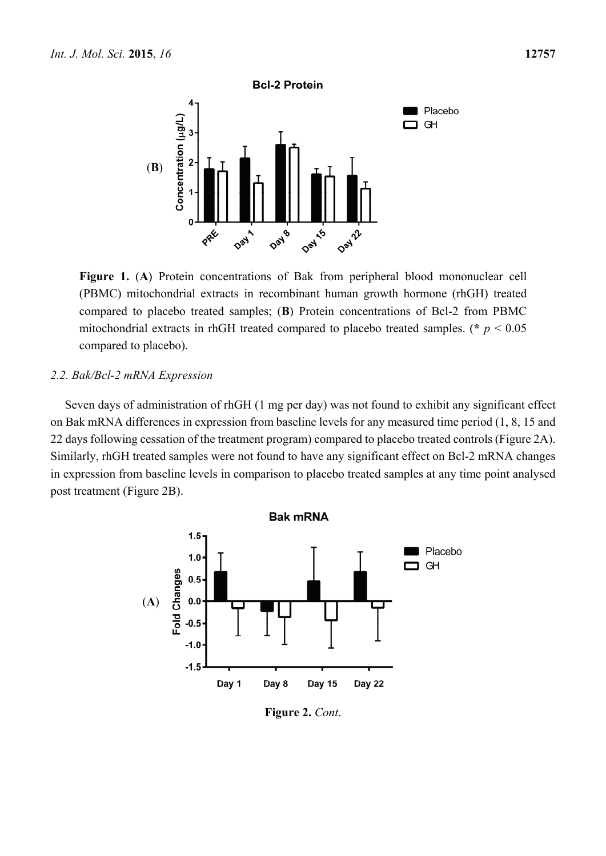



**Figure 1.** (**A**) Protein concentrations of Bak from peripheral blood mononuclear cell (PBMC) mitochondrial extracts in recombinant human growth hormone (rhGH) treated compared to placebo treated samples; (**B**) Protein concentrations of Bcl-2 from PBMC mitochondrial extracts in rhGH treated compared to placebo treated samples. ( $\ast$   $p$  < 0.05 compared to placebo).

# *2.2. Bak/Bcl-2 mRNA Expression*

Seven days of administration of rhGH (1 mg per day) was not found to exhibit any significant effect on Bak mRNA differences in expression from baseline levels for any measured time period (1, 8, 15 and 22 days following cessation of the treatment program) compared to placebo treated controls (Figure 2A). Similarly, rhGH treated samples were not found to have any significant effect on Bcl-2 mRNA changes in expression from baseline levels in comparison to placebo treated samples at any time point analysed post treatment (Figure 2B).



**Figure 2.** *Cont*.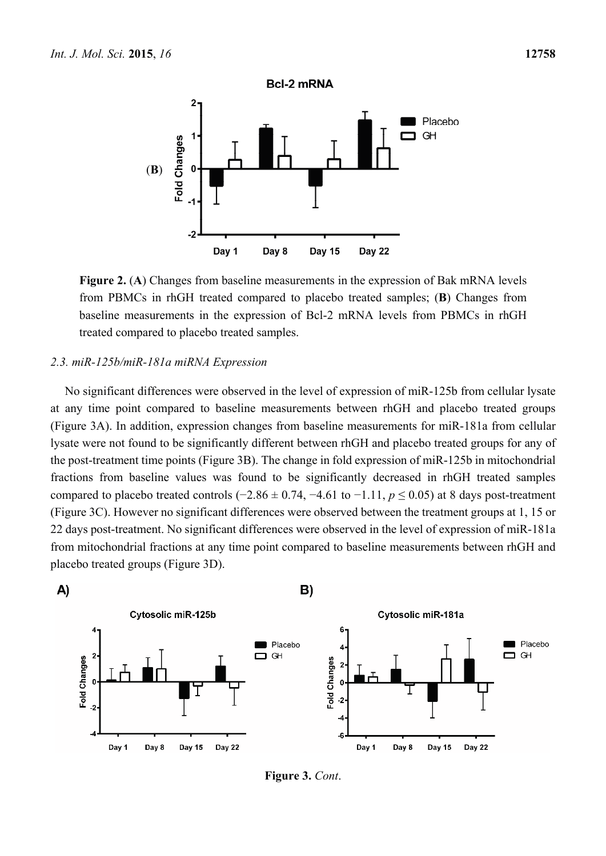

**Figure 2.** (**A**) Changes from baseline measurements in the expression of Bak mRNA levels from PBMCs in rhGH treated compared to placebo treated samples; (**B**) Changes from baseline measurements in the expression of Bcl-2 mRNA levels from PBMCs in rhGH treated compared to placebo treated samples.

#### *2.3. miR-125b/miR-181a miRNA Expression*

No significant differences were observed in the level of expression of miR-125b from cellular lysate at any time point compared to baseline measurements between rhGH and placebo treated groups (Figure 3A). In addition, expression changes from baseline measurements for miR-181a from cellular lysate were not found to be significantly different between rhGH and placebo treated groups for any of the post-treatment time points (Figure 3B). The change in fold expression of miR-125b in mitochondrial fractions from baseline values was found to be significantly decreased in rhGH treated samples compared to placebo treated controls ( $-2.86 \pm 0.74$ ,  $-4.61$  to  $-1.11$ ,  $p \le 0.05$ ) at 8 days post-treatment (Figure 3C). However no significant differences were observed between the treatment groups at 1, 15 or 22 days post-treatment. No significant differences were observed in the level of expression of miR-181a from mitochondrial fractions at any time point compared to baseline measurements between rhGH and placebo treated groups (Figure 3D).



**Figure 3.** *Cont*.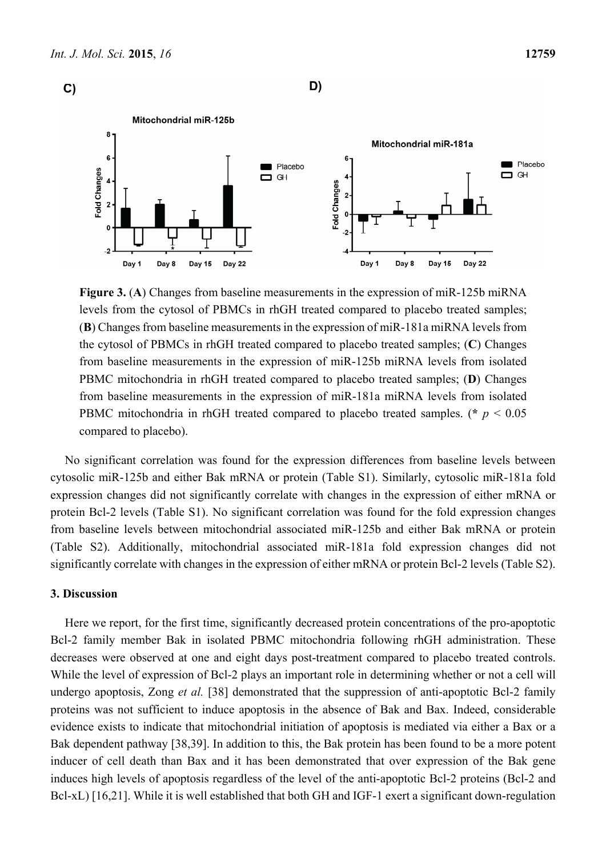



**Figure 3.** (**A**) Changes from baseline measurements in the expression of miR-125b miRNA levels from the cytosol of PBMCs in rhGH treated compared to placebo treated samples; (**B**) Changes from baseline measurements in the expression of miR-181a miRNA levels from the cytosol of PBMCs in rhGH treated compared to placebo treated samples; (**C**) Changes from baseline measurements in the expression of miR-125b miRNA levels from isolated PBMC mitochondria in rhGH treated compared to placebo treated samples; (**D**) Changes from baseline measurements in the expression of miR-181a miRNA levels from isolated PBMC mitochondria in rhGH treated compared to placebo treated samples. (**\*** *p* < 0.05 compared to placebo).

No significant correlation was found for the expression differences from baseline levels between cytosolic miR-125b and either Bak mRNA or protein (Table S1). Similarly, cytosolic miR-181a fold expression changes did not significantly correlate with changes in the expression of either mRNA or protein Bcl-2 levels (Table S1). No significant correlation was found for the fold expression changes from baseline levels between mitochondrial associated miR-125b and either Bak mRNA or protein (Table S2). Additionally, mitochondrial associated miR-181a fold expression changes did not significantly correlate with changes in the expression of either mRNA or protein Bcl-2 levels (Table S2).

## **3. Discussion**

Here we report, for the first time, significantly decreased protein concentrations of the pro-apoptotic Bcl-2 family member Bak in isolated PBMC mitochondria following rhGH administration. These decreases were observed at one and eight days post-treatment compared to placebo treated controls. While the level of expression of Bcl-2 plays an important role in determining whether or not a cell will undergo apoptosis, Zong *et al.* [38] demonstrated that the suppression of anti-apoptotic Bcl-2 family proteins was not sufficient to induce apoptosis in the absence of Bak and Bax. Indeed, considerable evidence exists to indicate that mitochondrial initiation of apoptosis is mediated via either a Bax or a Bak dependent pathway [38,39]. In addition to this, the Bak protein has been found to be a more potent inducer of cell death than Bax and it has been demonstrated that over expression of the Bak gene induces high levels of apoptosis regardless of the level of the anti-apoptotic Bcl-2 proteins (Bcl-2 and Bcl-xL) [16,21]. While it is well established that both GH and IGF-1 exert a significant down-regulation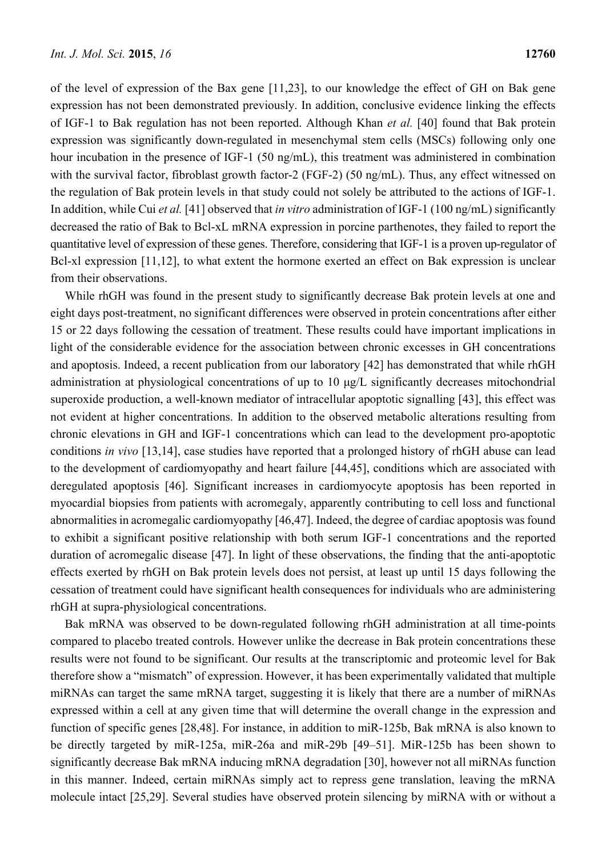of the level of expression of the Bax gene [11,23], to our knowledge the effect of GH on Bak gene expression has not been demonstrated previously. In addition, conclusive evidence linking the effects of IGF-1 to Bak regulation has not been reported. Although Khan *et al.* [40] found that Bak protein expression was significantly down-regulated in mesenchymal stem cells (MSCs) following only one hour incubation in the presence of IGF-1 (50 ng/mL), this treatment was administered in combination with the survival factor, fibroblast growth factor-2 (FGF-2) (50 ng/mL). Thus, any effect witnessed on the regulation of Bak protein levels in that study could not solely be attributed to the actions of IGF-1. In addition, while Cui *et al.* [41] observed that *in vitro* administration of IGF-1 (100 ng/mL) significantly decreased the ratio of Bak to Bcl-xL mRNA expression in porcine parthenotes, they failed to report the quantitative level of expression of these genes. Therefore, considering that IGF-1 is a proven up-regulator of Bcl-xl expression [11,12], to what extent the hormone exerted an effect on Bak expression is unclear from their observations.

While rhGH was found in the present study to significantly decrease Bak protein levels at one and eight days post-treatment, no significant differences were observed in protein concentrations after either 15 or 22 days following the cessation of treatment. These results could have important implications in light of the considerable evidence for the association between chronic excesses in GH concentrations and apoptosis. Indeed, a recent publication from our laboratory [42] has demonstrated that while rhGH administration at physiological concentrations of up to 10 μg/L significantly decreases mitochondrial superoxide production, a well-known mediator of intracellular apoptotic signalling [43], this effect was not evident at higher concentrations. In addition to the observed metabolic alterations resulting from chronic elevations in GH and IGF-1 concentrations which can lead to the development pro-apoptotic conditions *in vivo* [13,14], case studies have reported that a prolonged history of rhGH abuse can lead to the development of cardiomyopathy and heart failure [44,45], conditions which are associated with deregulated apoptosis [46]. Significant increases in cardiomyocyte apoptosis has been reported in myocardial biopsies from patients with acromegaly, apparently contributing to cell loss and functional abnormalities in acromegalic cardiomyopathy [46,47]. Indeed, the degree of cardiac apoptosis was found to exhibit a significant positive relationship with both serum IGF-1 concentrations and the reported duration of acromegalic disease [47]. In light of these observations, the finding that the anti-apoptotic effects exerted by rhGH on Bak protein levels does not persist, at least up until 15 days following the cessation of treatment could have significant health consequences for individuals who are administering rhGH at supra-physiological concentrations.

Bak mRNA was observed to be down-regulated following rhGH administration at all time-points compared to placebo treated controls. However unlike the decrease in Bak protein concentrations these results were not found to be significant. Our results at the transcriptomic and proteomic level for Bak therefore show a "mismatch" of expression. However, it has been experimentally validated that multiple miRNAs can target the same mRNA target, suggesting it is likely that there are a number of miRNAs expressed within a cell at any given time that will determine the overall change in the expression and function of specific genes [28,48]. For instance, in addition to miR-125b, Bak mRNA is also known to be directly targeted by miR-125a, miR-26a and miR-29b [49–51]. MiR-125b has been shown to significantly decrease Bak mRNA inducing mRNA degradation [30], however not all miRNAs function in this manner. Indeed, certain miRNAs simply act to repress gene translation, leaving the mRNA molecule intact [25,29]. Several studies have observed protein silencing by miRNA with or without a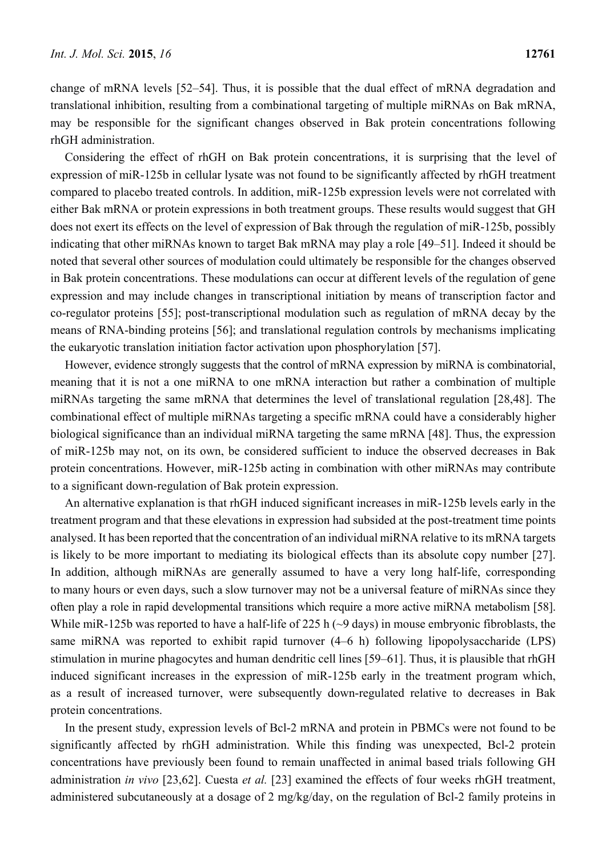change of mRNA levels [52–54]. Thus, it is possible that the dual effect of mRNA degradation and translational inhibition, resulting from a combinational targeting of multiple miRNAs on Bak mRNA, may be responsible for the significant changes observed in Bak protein concentrations following rhGH administration.

Considering the effect of rhGH on Bak protein concentrations, it is surprising that the level of expression of miR-125b in cellular lysate was not found to be significantly affected by rhGH treatment compared to placebo treated controls. In addition, miR-125b expression levels were not correlated with either Bak mRNA or protein expressions in both treatment groups. These results would suggest that GH does not exert its effects on the level of expression of Bak through the regulation of miR-125b, possibly indicating that other miRNAs known to target Bak mRNA may play a role [49–51]. Indeed it should be noted that several other sources of modulation could ultimately be responsible for the changes observed in Bak protein concentrations. These modulations can occur at different levels of the regulation of gene expression and may include changes in transcriptional initiation by means of transcription factor and co-regulator proteins [55]; post-transcriptional modulation such as regulation of mRNA decay by the means of RNA-binding proteins [56]; and translational regulation controls by mechanisms implicating the eukaryotic translation initiation factor activation upon phosphorylation [57].

However, evidence strongly suggests that the control of mRNA expression by miRNA is combinatorial, meaning that it is not a one miRNA to one mRNA interaction but rather a combination of multiple miRNAs targeting the same mRNA that determines the level of translational regulation [28,48]. The combinational effect of multiple miRNAs targeting a specific mRNA could have a considerably higher biological significance than an individual miRNA targeting the same mRNA [48]. Thus, the expression of miR-125b may not, on its own, be considered sufficient to induce the observed decreases in Bak protein concentrations. However, miR-125b acting in combination with other miRNAs may contribute to a significant down-regulation of Bak protein expression.

An alternative explanation is that rhGH induced significant increases in miR-125b levels early in the treatment program and that these elevations in expression had subsided at the post-treatment time points analysed. It has been reported that the concentration of an individual miRNA relative to its mRNA targets is likely to be more important to mediating its biological effects than its absolute copy number [27]. In addition, although miRNAs are generally assumed to have a very long half-life, corresponding to many hours or even days, such a slow turnover may not be a universal feature of miRNAs since they often play a role in rapid developmental transitions which require a more active miRNA metabolism [58]. While miR-125b was reported to have a half-life of 225 h ( $\sim$ 9 days) in mouse embryonic fibroblasts, the same miRNA was reported to exhibit rapid turnover  $(4–6 h)$  following lipopolysaccharide (LPS) stimulation in murine phagocytes and human dendritic cell lines [59–61]. Thus, it is plausible that rhGH induced significant increases in the expression of miR-125b early in the treatment program which, as a result of increased turnover, were subsequently down-regulated relative to decreases in Bak protein concentrations.

In the present study, expression levels of Bcl-2 mRNA and protein in PBMCs were not found to be significantly affected by rhGH administration. While this finding was unexpected, Bcl-2 protein concentrations have previously been found to remain unaffected in animal based trials following GH administration *in vivo* [23,62]. Cuesta *et al.* [23] examined the effects of four weeks rhGH treatment, administered subcutaneously at a dosage of 2 mg/kg/day, on the regulation of Bcl-2 family proteins in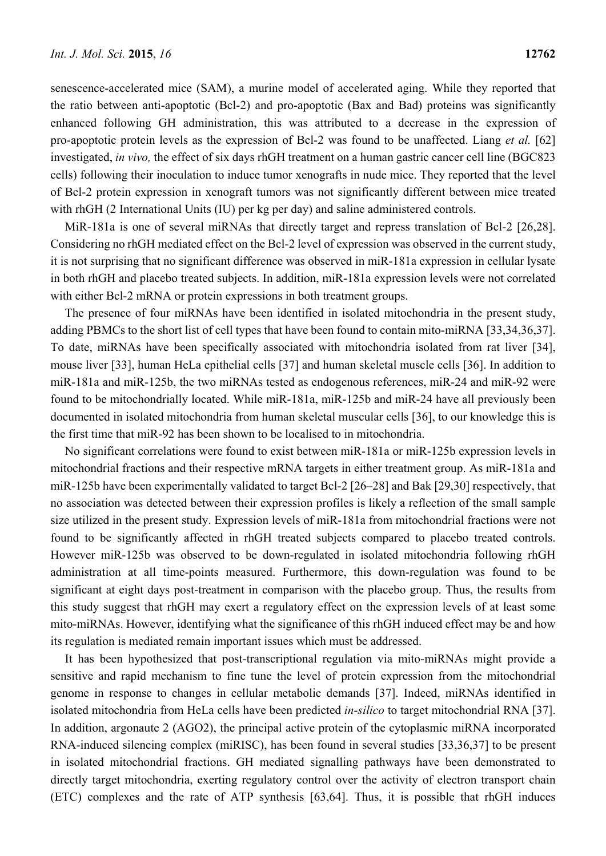senescence-accelerated mice (SAM), a murine model of accelerated aging. While they reported that the ratio between anti-apoptotic (Bcl-2) and pro-apoptotic (Bax and Bad) proteins was significantly enhanced following GH administration, this was attributed to a decrease in the expression of pro-apoptotic protein levels as the expression of Bcl-2 was found to be unaffected. Liang *et al.* [62] investigated, *in vivo,* the effect of six days rhGH treatment on a human gastric cancer cell line (BGC823 cells) following their inoculation to induce tumor xenografts in nude mice. They reported that the level of Bcl-2 protein expression in xenograft tumors was not significantly different between mice treated with rhGH (2 International Units (IU) per kg per day) and saline administered controls.

MiR-181a is one of several miRNAs that directly target and repress translation of Bcl-2 [26,28]. Considering no rhGH mediated effect on the Bcl-2 level of expression was observed in the current study, it is not surprising that no significant difference was observed in miR-181a expression in cellular lysate in both rhGH and placebo treated subjects. In addition, miR-181a expression levels were not correlated with either Bcl-2 mRNA or protein expressions in both treatment groups.

The presence of four miRNAs have been identified in isolated mitochondria in the present study, adding PBMCs to the short list of cell types that have been found to contain mito-miRNA [33,34,36,37]. To date, miRNAs have been specifically associated with mitochondria isolated from rat liver [34], mouse liver [33], human HeLa epithelial cells [37] and human skeletal muscle cells [36]. In addition to miR-181a and miR-125b, the two miRNAs tested as endogenous references, miR-24 and miR-92 were found to be mitochondrially located. While miR-181a, miR-125b and miR-24 have all previously been documented in isolated mitochondria from human skeletal muscular cells [36], to our knowledge this is the first time that miR-92 has been shown to be localised to in mitochondria.

No significant correlations were found to exist between miR-181a or miR-125b expression levels in mitochondrial fractions and their respective mRNA targets in either treatment group. As miR-181a and miR-125b have been experimentally validated to target Bcl-2 [26–28] and Bak [29,30] respectively, that no association was detected between their expression profiles is likely a reflection of the small sample size utilized in the present study. Expression levels of miR-181a from mitochondrial fractions were not found to be significantly affected in rhGH treated subjects compared to placebo treated controls. However miR-125b was observed to be down-regulated in isolated mitochondria following rhGH administration at all time-points measured. Furthermore, this down-regulation was found to be significant at eight days post-treatment in comparison with the placebo group. Thus, the results from this study suggest that rhGH may exert a regulatory effect on the expression levels of at least some mito-miRNAs. However, identifying what the significance of this rhGH induced effect may be and how its regulation is mediated remain important issues which must be addressed.

It has been hypothesized that post-transcriptional regulation via mito-miRNAs might provide a sensitive and rapid mechanism to fine tune the level of protein expression from the mitochondrial genome in response to changes in cellular metabolic demands [37]. Indeed, miRNAs identified in isolated mitochondria from HeLa cells have been predicted *in-silico* to target mitochondrial RNA [37]. In addition, argonaute 2 (AGO2), the principal active protein of the cytoplasmic miRNA incorporated RNA-induced silencing complex (miRISC), has been found in several studies [33,36,37] to be present in isolated mitochondrial fractions. GH mediated signalling pathways have been demonstrated to directly target mitochondria, exerting regulatory control over the activity of electron transport chain (ETC) complexes and the rate of ATP synthesis [63,64]. Thus, it is possible that rhGH induces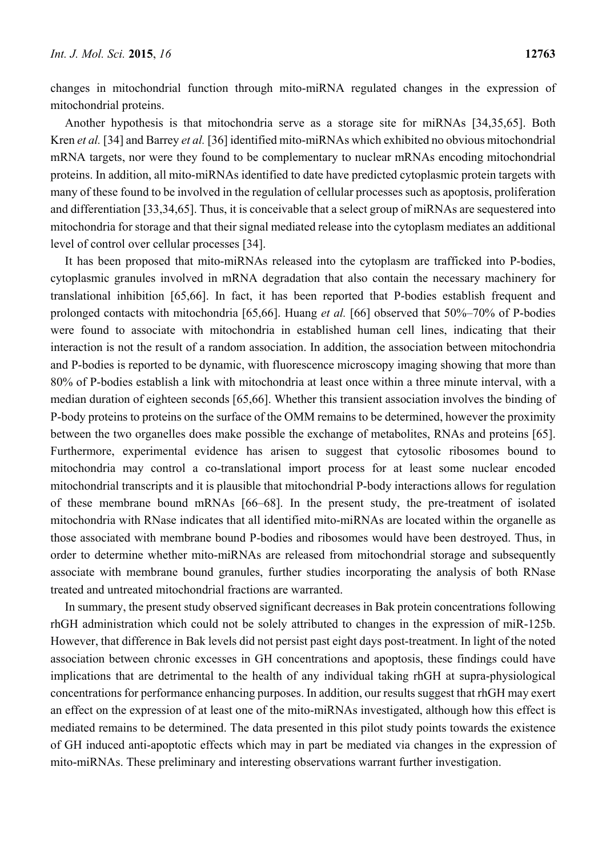changes in mitochondrial function through mito-miRNA regulated changes in the expression of mitochondrial proteins.

Another hypothesis is that mitochondria serve as a storage site for miRNAs [34,35,65]. Both Kren *et al.* [34] and Barrey *et al.* [36] identified mito-miRNAs which exhibited no obvious mitochondrial mRNA targets, nor were they found to be complementary to nuclear mRNAs encoding mitochondrial proteins. In addition, all mito-miRNAs identified to date have predicted cytoplasmic protein targets with many of these found to be involved in the regulation of cellular processes such as apoptosis, proliferation and differentiation [33,34,65]. Thus, it is conceivable that a select group of miRNAs are sequestered into mitochondria for storage and that their signal mediated release into the cytoplasm mediates an additional level of control over cellular processes [34].

It has been proposed that mito-miRNAs released into the cytoplasm are trafficked into P-bodies, cytoplasmic granules involved in mRNA degradation that also contain the necessary machinery for translational inhibition [65,66]. In fact, it has been reported that P-bodies establish frequent and prolonged contacts with mitochondria [65,66]. Huang *et al.* [66] observed that 50%–70% of P-bodies were found to associate with mitochondria in established human cell lines, indicating that their interaction is not the result of a random association. In addition, the association between mitochondria and P-bodies is reported to be dynamic, with fluorescence microscopy imaging showing that more than 80% of P-bodies establish a link with mitochondria at least once within a three minute interval, with a median duration of eighteen seconds [65,66]. Whether this transient association involves the binding of P-body proteins to proteins on the surface of the OMM remains to be determined, however the proximity between the two organelles does make possible the exchange of metabolites, RNAs and proteins [65]. Furthermore, experimental evidence has arisen to suggest that cytosolic ribosomes bound to mitochondria may control a co-translational import process for at least some nuclear encoded mitochondrial transcripts and it is plausible that mitochondrial P-body interactions allows for regulation of these membrane bound mRNAs [66–68]. In the present study, the pre-treatment of isolated mitochondria with RNase indicates that all identified mito-miRNAs are located within the organelle as those associated with membrane bound P-bodies and ribosomes would have been destroyed. Thus, in order to determine whether mito-miRNAs are released from mitochondrial storage and subsequently associate with membrane bound granules, further studies incorporating the analysis of both RNase treated and untreated mitochondrial fractions are warranted.

In summary, the present study observed significant decreases in Bak protein concentrations following rhGH administration which could not be solely attributed to changes in the expression of miR-125b. However, that difference in Bak levels did not persist past eight days post-treatment. In light of the noted association between chronic excesses in GH concentrations and apoptosis, these findings could have implications that are detrimental to the health of any individual taking rhGH at supra-physiological concentrations for performance enhancing purposes. In addition, our results suggest that rhGH may exert an effect on the expression of at least one of the mito-miRNAs investigated, although how this effect is mediated remains to be determined. The data presented in this pilot study points towards the existence of GH induced anti-apoptotic effects which may in part be mediated via changes in the expression of mito-miRNAs. These preliminary and interesting observations warrant further investigation.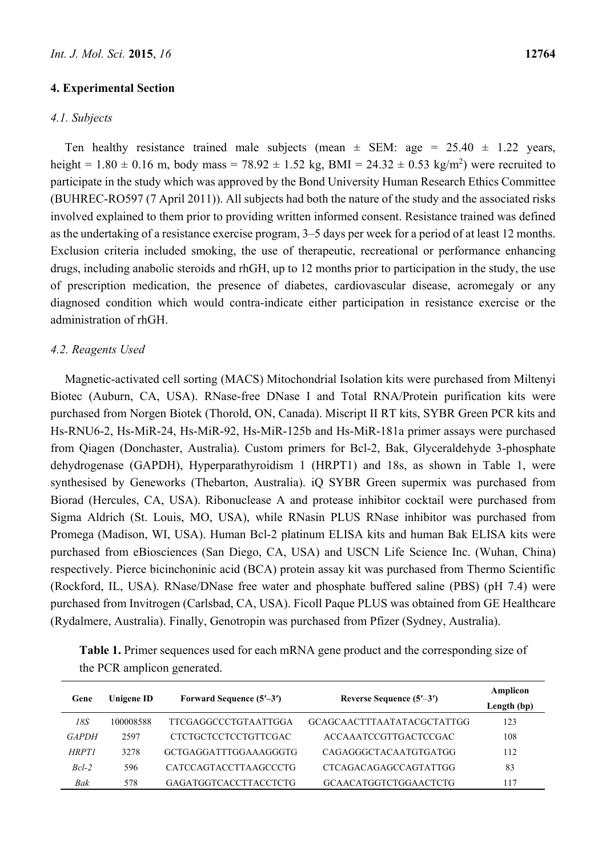# **4. Experimental Section**

# *4.1. Subjects*

Ten healthy resistance trained male subjects (mean  $\pm$  SEM: age = 25.40  $\pm$  1.22 years, height =  $1.80 \pm 0.16$  m, body mass =  $78.92 \pm 1.52$  kg, BMI =  $24.32 \pm 0.53$  kg/m<sup>2</sup>) were recruited to participate in the study which was approved by the Bond University Human Research Ethics Committee (BUHREC-RO597 (7 April 2011)). All subjects had both the nature of the study and the associated risks involved explained to them prior to providing written informed consent. Resistance trained was defined as the undertaking of a resistance exercise program, 3–5 days per week for a period of at least 12 months. Exclusion criteria included smoking, the use of therapeutic, recreational or performance enhancing drugs, including anabolic steroids and rhGH, up to 12 months prior to participation in the study, the use of prescription medication, the presence of diabetes, cardiovascular disease, acromegaly or any diagnosed condition which would contra-indicate either participation in resistance exercise or the administration of rhGH.

# *4.2. Reagents Used*

Magnetic-activated cell sorting (MACS) Mitochondrial Isolation kits were purchased from Miltenyi Biotec (Auburn, CA, USA). RNase-free DNase I and Total RNA/Protein purification kits were purchased from Norgen Biotek (Thorold, ON, Canada). Miscript II RT kits, SYBR Green PCR kits and Hs-RNU6-2, Hs-MiR-24, Hs-MiR-92, Hs-MiR-125b and Hs-MiR-181a primer assays were purchased from Qiagen (Donchaster, Australia). Custom primers for Bcl-2, Bak, Glyceraldehyde 3-phosphate dehydrogenase (GAPDH), Hyperparathyroidism 1 (HRPT1) and 18s, as shown in Table 1, were synthesised by Geneworks (Thebarton, Australia). iQ SYBR Green supermix was purchased from Biorad (Hercules, CA, USA). Ribonuclease A and protease inhibitor cocktail were purchased from Sigma Aldrich (St. Louis, MO, USA), while RNasin PLUS RNase inhibitor was purchased from Promega (Madison, WI, USA). Human Bcl-2 platinum ELISA kits and human Bak ELISA kits were purchased from eBiosciences (San Diego, CA, USA) and USCN Life Science Inc. (Wuhan, China) respectively. Pierce bicinchoninic acid (BCA) protein assay kit was purchased from Thermo Scientific (Rockford, IL, USA). RNase/DNase free water and phosphate buffered saline (PBS) (pH 7.4) were purchased from Invitrogen (Carlsbad, CA, USA). Ficoll Paque PLUS was obtained from GE Healthcare (Rydalmere, Australia). Finally, Genotropin was purchased from Pfizer (Sydney, Australia).

|                             | Table 1. Primer sequences used for each mRNA gene product and the corresponding size of |  |  |
|-----------------------------|-----------------------------------------------------------------------------------------|--|--|
| the PCR amplicon generated. |                                                                                         |  |  |

| Gene         | Unigene ID | Forward Sequence $(5'–3')$   | Reverse Sequence (5'-3')   | Amplicon    |
|--------------|------------|------------------------------|----------------------------|-------------|
|              |            |                              |                            | Length (bp) |
| 18S          | 100008588  | TTCGAGGCCCTGTAATTGGA         | GCAGCAACTTTAATATACGCTATTGG | 123         |
| <b>GAPDH</b> | 2597       | CTCTGCTCCTCCTGTTCGAC         | ACCAAATCCGTTGACTCCGAC      | 108         |
| <b>HRPT1</b> | 3278       | GCTGAGGATTTGGAAAGGGTG        | CAGAGGGCTACAATGTGATGG      | 112         |
| $Bcl-2$      | 596        | <b>CATCCAGTACCTTAAGCCCTG</b> | CTCAGACAGAGCCAGTATTGG      | 83          |
| Bak          | 578        | <b>GAGATGGTCACCTTACCTCTG</b> | GCAACATGGTCTGGAACTCTG      | 117         |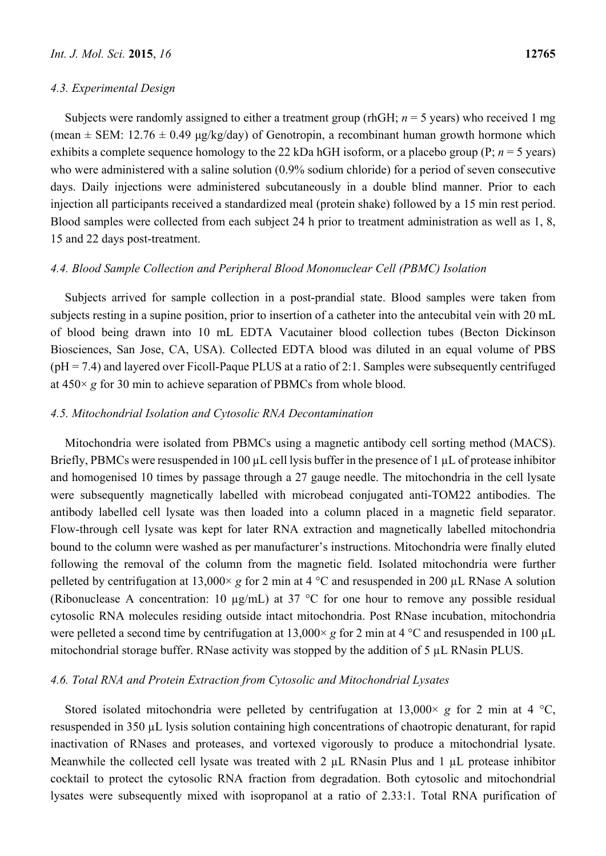## *4.3. Experimental Design*

Subjects were randomly assigned to either a treatment group (rhGH; *n* = 5 years) who received 1 mg (mean  $\pm$  SEM: 12.76  $\pm$  0.49 μg/kg/day) of Genotropin, a recombinant human growth hormone which exhibits a complete sequence homology to the 22 kDa hGH isoform, or a placebo group (P; *n* = 5 years) who were administered with a saline solution (0.9% sodium chloride) for a period of seven consecutive days. Daily injections were administered subcutaneously in a double blind manner. Prior to each injection all participants received a standardized meal (protein shake) followed by a 15 min rest period. Blood samples were collected from each subject 24 h prior to treatment administration as well as 1, 8, 15 and 22 days post-treatment.

## *4.4. Blood Sample Collection and Peripheral Blood Mononuclear Cell (PBMC) Isolation*

Subjects arrived for sample collection in a post-prandial state. Blood samples were taken from subjects resting in a supine position, prior to insertion of a catheter into the antecubital vein with 20 mL of blood being drawn into 10 mL EDTA Vacutainer blood collection tubes (Becton Dickinson Biosciences, San Jose, CA, USA). Collected EDTA blood was diluted in an equal volume of PBS  $(pH = 7.4)$  and layered over Ficoll-Paque PLUS at a ratio of 2:1. Samples were subsequently centrifuged at 450× *g* for 30 min to achieve separation of PBMCs from whole blood.

## *4.5. Mitochondrial Isolation and Cytosolic RNA Decontamination*

Mitochondria were isolated from PBMCs using a magnetic antibody cell sorting method (MACS). Briefly, PBMCs were resuspended in 100 µL cell lysis buffer in the presence of 1 µL of protease inhibitor and homogenised 10 times by passage through a 27 gauge needle. The mitochondria in the cell lysate were subsequently magnetically labelled with microbead conjugated anti-TOM22 antibodies. The antibody labelled cell lysate was then loaded into a column placed in a magnetic field separator. Flow-through cell lysate was kept for later RNA extraction and magnetically labelled mitochondria bound to the column were washed as per manufacturer's instructions. Mitochondria were finally eluted following the removal of the column from the magnetic field. Isolated mitochondria were further pelleted by centrifugation at 13,000× *g* for 2 min at 4 °C and resuspended in 200 µL RNase A solution (Ribonuclease A concentration: 10  $\mu$ g/mL) at 37 °C for one hour to remove any possible residual cytosolic RNA molecules residing outside intact mitochondria. Post RNase incubation, mitochondria were pelleted a second time by centrifugation at  $13,000 \times g$  for 2 min at 4 °C and resuspended in 100 µL mitochondrial storage buffer. RNase activity was stopped by the addition of 5 µL RNasin PLUS.

# *4.6. Total RNA and Protein Extraction from Cytosolic and Mitochondrial Lysates*

Stored isolated mitochondria were pelleted by centrifugation at  $13,000 \times g$  for 2 min at 4 °C, resuspended in 350 µL lysis solution containing high concentrations of chaotropic denaturant, for rapid inactivation of RNases and proteases, and vortexed vigorously to produce a mitochondrial lysate. Meanwhile the collected cell lysate was treated with 2  $\mu$ L RNasin Plus and 1  $\mu$ L protease inhibitor cocktail to protect the cytosolic RNA fraction from degradation. Both cytosolic and mitochondrial lysates were subsequently mixed with isopropanol at a ratio of 2.33:1. Total RNA purification of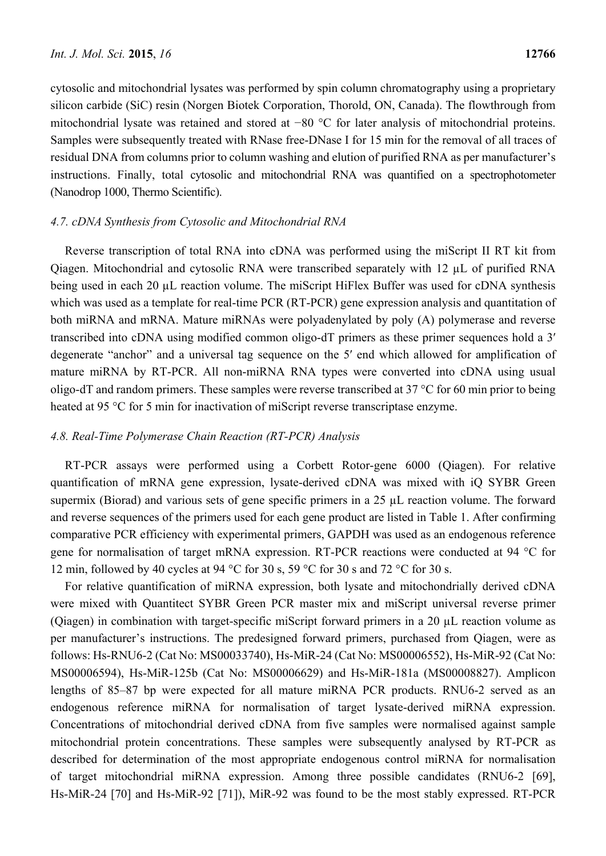cytosolic and mitochondrial lysates was performed by spin column chromatography using a proprietary silicon carbide (SiC) resin (Norgen Biotek Corporation, Thorold, ON, Canada). The flowthrough from mitochondrial lysate was retained and stored at −80 °C for later analysis of mitochondrial proteins. Samples were subsequently treated with RNase free-DNase I for 15 min for the removal of all traces of residual DNA from columns prior to column washing and elution of purified RNA as per manufacturer's instructions. Finally, total cytosolic and mitochondrial RNA was quantified on a spectrophotometer (Nanodrop 1000, Thermo Scientific).

# *4.7. cDNA Synthesis from Cytosolic and Mitochondrial RNA*

Reverse transcription of total RNA into cDNA was performed using the miScript II RT kit from Qiagen. Mitochondrial and cytosolic RNA were transcribed separately with 12 µL of purified RNA being used in each 20 µL reaction volume. The miScript HiFlex Buffer was used for cDNA synthesis which was used as a template for real-time PCR (RT-PCR) gene expression analysis and quantitation of both miRNA and mRNA. Mature miRNAs were polyadenylated by poly (A) polymerase and reverse transcribed into cDNA using modified common oligo-dT primers as these primer sequences hold a 3′ degenerate "anchor" and a universal tag sequence on the 5′ end which allowed for amplification of mature miRNA by RT-PCR. All non-miRNA RNA types were converted into cDNA using usual oligo-dT and random primers. These samples were reverse transcribed at 37 °C for 60 min prior to being heated at 95 °C for 5 min for inactivation of miScript reverse transcriptase enzyme.

# *4.8. Real-Time Polymerase Chain Reaction (RT-PCR) Analysis*

RT-PCR assays were performed using a Corbett Rotor-gene 6000 (Qiagen). For relative quantification of mRNA gene expression, lysate-derived cDNA was mixed with iQ SYBR Green supermix (Biorad) and various sets of gene specific primers in a 25  $\mu$ L reaction volume. The forward and reverse sequences of the primers used for each gene product are listed in Table 1. After confirming comparative PCR efficiency with experimental primers, GAPDH was used as an endogenous reference gene for normalisation of target mRNA expression. RT-PCR reactions were conducted at 94 °C for 12 min, followed by 40 cycles at 94 °C for 30 s, 59 °C for 30 s and 72 °C for 30 s.

For relative quantification of miRNA expression, both lysate and mitochondrially derived cDNA were mixed with Quantitect SYBR Green PCR master mix and miScript universal reverse primer (Qiagen) in combination with target-specific miScript forward primers in a 20 µL reaction volume as per manufacturer's instructions. The predesigned forward primers, purchased from Qiagen, were as follows: Hs-RNU6-2 (Cat No: MS00033740), Hs-MiR-24 (Cat No: MS00006552), Hs-MiR-92 (Cat No: MS00006594), Hs-MiR-125b (Cat No: MS00006629) and Hs-MiR-181a (MS00008827). Amplicon lengths of 85–87 bp were expected for all mature miRNA PCR products. RNU6-2 served as an endogenous reference miRNA for normalisation of target lysate-derived miRNA expression. Concentrations of mitochondrial derived cDNA from five samples were normalised against sample mitochondrial protein concentrations. These samples were subsequently analysed by RT-PCR as described for determination of the most appropriate endogenous control miRNA for normalisation of target mitochondrial miRNA expression. Among three possible candidates (RNU6-2 [69], Hs-MiR-24 [70] and Hs-MiR-92 [71]), MiR-92 was found to be the most stably expressed. RT-PCR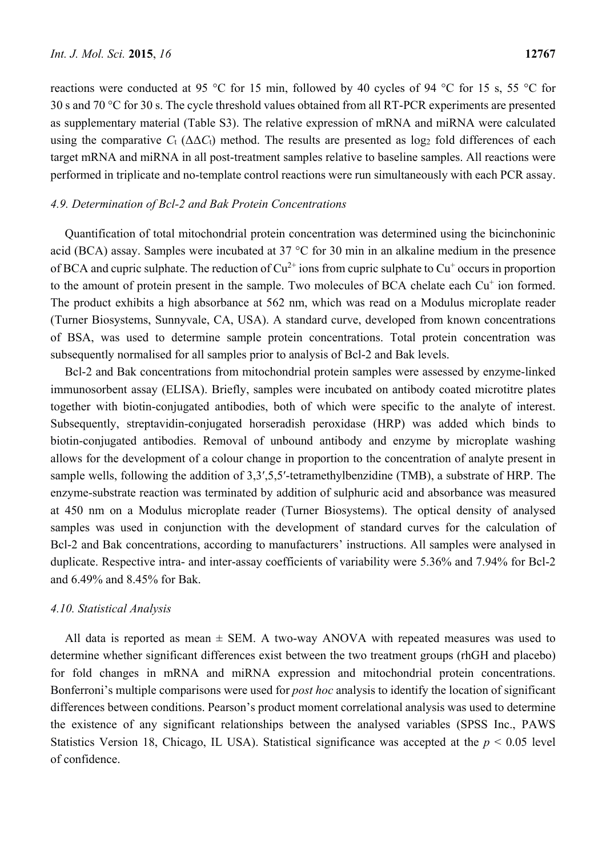reactions were conducted at 95 °C for 15 min, followed by 40 cycles of 94 °C for 15 s, 55 °C for 30 s and 70 °C for 30 s. The cycle threshold values obtained from all RT-PCR experiments are presented as supplementary material (Table S3). The relative expression of mRNA and miRNA were calculated using the comparative  $C_t$  ( $\Delta \Delta C_t$ ) method. The results are presented as log<sub>2</sub> fold differences of each target mRNA and miRNA in all post-treatment samples relative to baseline samples. All reactions were performed in triplicate and no-template control reactions were run simultaneously with each PCR assay.

#### *4.9. Determination of Bcl-2 and Bak Protein Concentrations*

Quantification of total mitochondrial protein concentration was determined using the bicinchoninic acid (BCA) assay. Samples were incubated at 37 °C for 30 min in an alkaline medium in the presence of BCA and cupric sulphate. The reduction of  $Cu^{2+}$  ions from cupric sulphate to  $Cu^{+}$  occurs in proportion to the amount of protein present in the sample. Two molecules of BCA chelate each Cu<sup>+</sup> ion formed. The product exhibits a high absorbance at 562 nm, which was read on a Modulus microplate reader (Turner Biosystems, Sunnyvale, CA, USA). A standard curve, developed from known concentrations of BSA, was used to determine sample protein concentrations. Total protein concentration was subsequently normalised for all samples prior to analysis of Bcl-2 and Bak levels.

Bcl-2 and Bak concentrations from mitochondrial protein samples were assessed by enzyme-linked immunosorbent assay (ELISA). Briefly, samples were incubated on antibody coated microtitre plates together with biotin-conjugated antibodies, both of which were specific to the analyte of interest. Subsequently, streptavidin-conjugated horseradish peroxidase (HRP) was added which binds to biotin-conjugated antibodies. Removal of unbound antibody and enzyme by microplate washing allows for the development of a colour change in proportion to the concentration of analyte present in sample wells, following the addition of 3,3ʹ,5,5ʹ-tetramethylbenzidine (TMB), a substrate of HRP. The enzyme-substrate reaction was terminated by addition of sulphuric acid and absorbance was measured at 450 nm on a Modulus microplate reader (Turner Biosystems). The optical density of analysed samples was used in conjunction with the development of standard curves for the calculation of Bcl-2 and Bak concentrations, according to manufacturers' instructions. All samples were analysed in duplicate. Respective intra- and inter-assay coefficients of variability were 5.36% and 7.94% for Bcl-2 and 6.49% and 8.45% for Bak.

#### *4.10. Statistical Analysis*

All data is reported as mean  $\pm$  SEM. A two-way ANOVA with repeated measures was used to determine whether significant differences exist between the two treatment groups (rhGH and placebo) for fold changes in mRNA and miRNA expression and mitochondrial protein concentrations. Bonferroni's multiple comparisons were used for *post hoc* analysis to identify the location of significant differences between conditions. Pearson's product moment correlational analysis was used to determine the existence of any significant relationships between the analysed variables (SPSS Inc., PAWS Statistics Version 18, Chicago, IL USA). Statistical significance was accepted at the  $p \le 0.05$  level of confidence.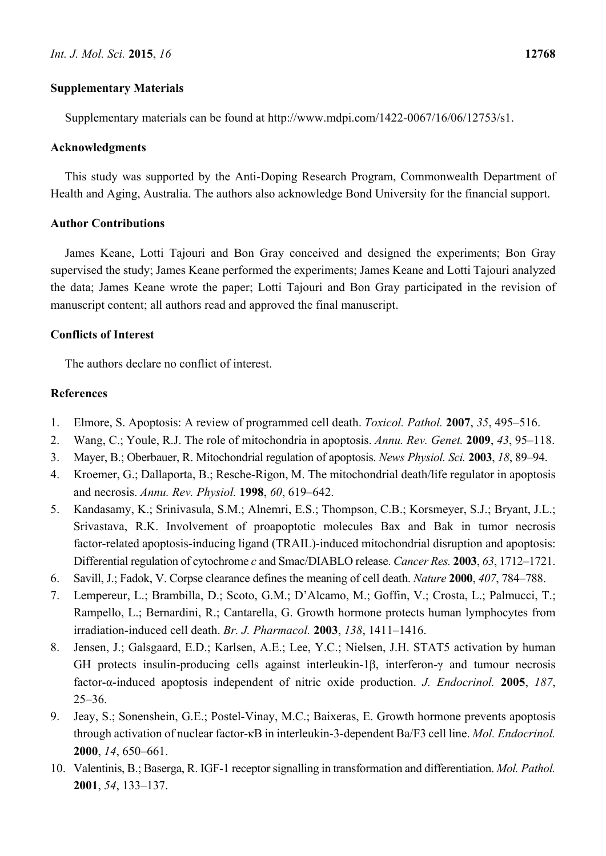# **Supplementary Materials**

Supplementary materials can be found at http://www.mdpi.com/1422-0067/16/06/12753/s1.

## **Acknowledgments**

This study was supported by the Anti-Doping Research Program, Commonwealth Department of Health and Aging, Australia. The authors also acknowledge Bond University for the financial support.

# **Author Contributions**

James Keane, Lotti Tajouri and Bon Gray conceived and designed the experiments; Bon Gray supervised the study; James Keane performed the experiments; James Keane and Lotti Tajouri analyzed the data; James Keane wrote the paper; Lotti Tajouri and Bon Gray participated in the revision of manuscript content; all authors read and approved the final manuscript.

# **Conflicts of Interest**

The authors declare no conflict of interest.

## **References**

- 1. Elmore, S. Apoptosis: A review of programmed cell death. *Toxicol. Pathol.* **2007**, *35*, 495–516.
- 2. Wang, C.; Youle, R.J. The role of mitochondria in apoptosis. *Annu. Rev. Genet.* **2009**, *43*, 95–118.
- 3. Mayer, B.; Oberbauer, R. Mitochondrial regulation of apoptosis. *News Physiol. Sci.* **2003**, *18*, 89–94.
- 4. Kroemer, G.; Dallaporta, B.; Resche-Rigon, M. The mitochondrial death/life regulator in apoptosis and necrosis. *Annu. Rev. Physiol.* **1998**, *60*, 619–642.
- 5. Kandasamy, K.; Srinivasula, S.M.; Alnemri, E.S.; Thompson, C.B.; Korsmeyer, S.J.; Bryant, J.L.; Srivastava, R.K. Involvement of proapoptotic molecules Bax and Bak in tumor necrosis factor-related apoptosis-inducing ligand (TRAIL)-induced mitochondrial disruption and apoptosis: Differential regulation of cytochrome *c* and Smac/DIABLO release. *Cancer Res.* **2003**, *63*, 1712–1721.
- 6. Savill, J.; Fadok, V. Corpse clearance defines the meaning of cell death. *Nature* **2000**, *407*, 784–788.
- 7. Lempereur, L.; Brambilla, D.; Scoto, G.M.; D'Alcamo, M.; Goffin, V.; Crosta, L.; Palmucci, T.; Rampello, L.; Bernardini, R.; Cantarella, G. Growth hormone protects human lymphocytes from irradiation-induced cell death. *Br. J. Pharmacol.* **2003**, *138*, 1411–1416.
- 8. Jensen, J.; Galsgaard, E.D.; Karlsen, A.E.; Lee, Y.C.; Nielsen, J.H. STAT5 activation by human GH protects insulin-producing cells against interleukin-1β, interferon-γ and tumour necrosis factor-α-induced apoptosis independent of nitric oxide production. *J. Endocrinol.* **2005**, *187*, 25–36.
- 9. Jeay, S.; Sonenshein, G.E.; Postel-Vinay, M.C.; Baixeras, E. Growth hormone prevents apoptosis through activation of nuclear factor-κB in interleukin-3-dependent Ba/F3 cell line. *Mol. Endocrinol.*  **2000**, *14*, 650–661.
- 10. Valentinis, B.; Baserga, R. IGF-1 receptor signalling in transformation and differentiation. *Mol. Pathol.*  **2001**, *54*, 133–137.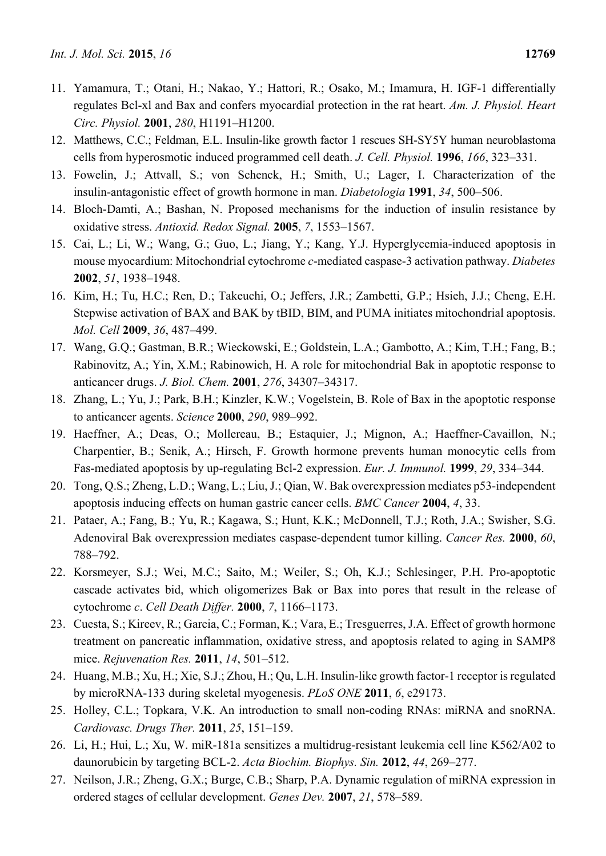- 11. Yamamura, T.; Otani, H.; Nakao, Y.; Hattori, R.; Osako, M.; Imamura, H. IGF-1 differentially regulates Bcl-xl and Bax and confers myocardial protection in the rat heart. *Am. J. Physiol. Heart Circ. Physiol.* **2001**, *280*, H1191–H1200.
- 12. Matthews, C.C.; Feldman, E.L. Insulin-like growth factor 1 rescues SH-SY5Y human neuroblastoma cells from hyperosmotic induced programmed cell death. *J. Cell. Physiol.* **1996**, *166*, 323–331.
- 13. Fowelin, J.; Attvall, S.; von Schenck, H.; Smith, U.; Lager, I. Characterization of the insulin-antagonistic effect of growth hormone in man. *Diabetologia* **1991**, *34*, 500–506.
- 14. Bloch-Damti, A.; Bashan, N. Proposed mechanisms for the induction of insulin resistance by oxidative stress. *Antioxid. Redox Signal.* **2005**, *7*, 1553–1567.
- 15. Cai, L.; Li, W.; Wang, G.; Guo, L.; Jiang, Y.; Kang, Y.J. Hyperglycemia-induced apoptosis in mouse myocardium: Mitochondrial cytochrome *c*-mediated caspase-3 activation pathway. *Diabetes*  **2002**, *51*, 1938–1948.
- 16. Kim, H.; Tu, H.C.; Ren, D.; Takeuchi, O.; Jeffers, J.R.; Zambetti, G.P.; Hsieh, J.J.; Cheng, E.H. Stepwise activation of BAX and BAK by tBID, BIM, and PUMA initiates mitochondrial apoptosis. *Mol. Cell* **2009**, *36*, 487–499.
- 17. Wang, G.Q.; Gastman, B.R.; Wieckowski, E.; Goldstein, L.A.; Gambotto, A.; Kim, T.H.; Fang, B.; Rabinovitz, A.; Yin, X.M.; Rabinowich, H. A role for mitochondrial Bak in apoptotic response to anticancer drugs. *J. Biol. Chem.* **2001**, *276*, 34307–34317.
- 18. Zhang, L.; Yu, J.; Park, B.H.; Kinzler, K.W.; Vogelstein, B. Role of Bax in the apoptotic response to anticancer agents. *Science* **2000**, *290*, 989–992.
- 19. Haeffner, A.; Deas, O.; Mollereau, B.; Estaquier, J.; Mignon, A.; Haeffner-Cavaillon, N.; Charpentier, B.; Senik, A.; Hirsch, F. Growth hormone prevents human monocytic cells from Fas-mediated apoptosis by up-regulating Bcl-2 expression. *Eur. J. Immunol.* **1999**, *29*, 334–344.
- 20. Tong, Q.S.; Zheng, L.D.; Wang, L.; Liu, J.; Qian, W. Bak overexpression mediates p53-independent apoptosis inducing effects on human gastric cancer cells. *BMC Cancer* **2004**, *4*, 33.
- 21. Pataer, A.; Fang, B.; Yu, R.; Kagawa, S.; Hunt, K.K.; McDonnell, T.J.; Roth, J.A.; Swisher, S.G. Adenoviral Bak overexpression mediates caspase-dependent tumor killing. *Cancer Res.* **2000**, *60*, 788–792.
- 22. Korsmeyer, S.J.; Wei, M.C.; Saito, M.; Weiler, S.; Oh, K.J.; Schlesinger, P.H. Pro-apoptotic cascade activates bid, which oligomerizes Bak or Bax into pores that result in the release of cytochrome *c*. *Cell Death Differ.* **2000**, *7*, 1166–1173.
- 23. Cuesta, S.; Kireev, R.; Garcia, C.; Forman, K.; Vara, E.; Tresguerres, J.A. Effect of growth hormone treatment on pancreatic inflammation, oxidative stress, and apoptosis related to aging in SAMP8 mice. *Rejuvenation Res.* **2011**, *14*, 501–512.
- 24. Huang, M.B.; Xu, H.; Xie, S.J.; Zhou, H.; Qu, L.H. Insulin-like growth factor-1 receptor is regulated by microRNA-133 during skeletal myogenesis. *PLoS ONE* **2011**, *6*, e29173.
- 25. Holley, C.L.; Topkara, V.K. An introduction to small non-coding RNAs: miRNA and snoRNA. *Cardiovasc. Drugs Ther.* **2011**, *25*, 151–159.
- 26. Li, H.; Hui, L.; Xu, W. miR-181a sensitizes a multidrug-resistant leukemia cell line K562/A02 to daunorubicin by targeting BCL-2. *Acta Biochim. Biophys. Sin.* **2012**, *44*, 269–277.
- 27. Neilson, J.R.; Zheng, G.X.; Burge, C.B.; Sharp, P.A. Dynamic regulation of miRNA expression in ordered stages of cellular development. *Genes Dev.* **2007**, *21*, 578–589.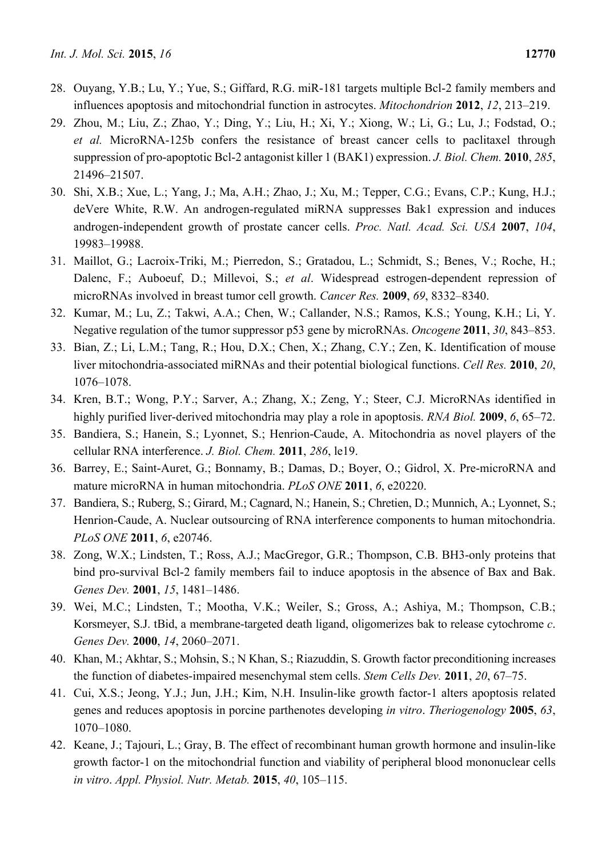- 28. Ouyang, Y.B.; Lu, Y.; Yue, S.; Giffard, R.G. miR-181 targets multiple Bcl-2 family members and influences apoptosis and mitochondrial function in astrocytes. *Mitochondrion* **2012**, *12*, 213–219.
- 29. Zhou, M.; Liu, Z.; Zhao, Y.; Ding, Y.; Liu, H.; Xi, Y.; Xiong, W.; Li, G.; Lu, J.; Fodstad, O.; *et al.* MicroRNA-125b confers the resistance of breast cancer cells to paclitaxel through suppression of pro-apoptotic Bcl-2 antagonist killer 1 (BAK1) expression. *J. Biol. Chem.* **2010**, *285*, 21496–21507.
- 30. Shi, X.B.; Xue, L.; Yang, J.; Ma, A.H.; Zhao, J.; Xu, M.; Tepper, C.G.; Evans, C.P.; Kung, H.J.; deVere White, R.W. An androgen-regulated miRNA suppresses Bak1 expression and induces androgen-independent growth of prostate cancer cells. *Proc. Natl. Acad. Sci. USA* **2007**, *104*, 19983–19988.
- 31. Maillot, G.; Lacroix-Triki, M.; Pierredon, S.; Gratadou, L.; Schmidt, S.; Benes, V.; Roche, H.; Dalenc, F.; Auboeuf, D.; Millevoi, S.; *et al*. Widespread estrogen-dependent repression of microRNAs involved in breast tumor cell growth. *Cancer Res.* **2009**, *69*, 8332–8340.
- 32. Kumar, M.; Lu, Z.; Takwi, A.A.; Chen, W.; Callander, N.S.; Ramos, K.S.; Young, K.H.; Li, Y. Negative regulation of the tumor suppressor p53 gene by microRNAs. *Oncogene* **2011**, *30*, 843–853.
- 33. Bian, Z.; Li, L.M.; Tang, R.; Hou, D.X.; Chen, X.; Zhang, C.Y.; Zen, K. Identification of mouse liver mitochondria-associated miRNAs and their potential biological functions. *Cell Res.* **2010**, *20*, 1076–1078.
- 34. Kren, B.T.; Wong, P.Y.; Sarver, A.; Zhang, X.; Zeng, Y.; Steer, C.J. MicroRNAs identified in highly purified liver-derived mitochondria may play a role in apoptosis. *RNA Biol.* **2009**, *6*, 65–72.
- 35. Bandiera, S.; Hanein, S.; Lyonnet, S.; Henrion-Caude, A. Mitochondria as novel players of the cellular RNA interference. *J. Biol. Chem.* **2011**, *286*, le19.
- 36. Barrey, E.; Saint-Auret, G.; Bonnamy, B.; Damas, D.; Boyer, O.; Gidrol, X. Pre-microRNA and mature microRNA in human mitochondria. *PLoS ONE* **2011**, *6*, e20220.
- 37. Bandiera, S.; Ruberg, S.; Girard, M.; Cagnard, N.; Hanein, S.; Chretien, D.; Munnich, A.; Lyonnet, S.; Henrion-Caude, A. Nuclear outsourcing of RNA interference components to human mitochondria. *PLoS ONE* **2011**, *6*, e20746.
- 38. Zong, W.X.; Lindsten, T.; Ross, A.J.; MacGregor, G.R.; Thompson, C.B. BH3-only proteins that bind pro-survival Bcl-2 family members fail to induce apoptosis in the absence of Bax and Bak. *Genes Dev.* **2001**, *15*, 1481–1486.
- 39. Wei, M.C.; Lindsten, T.; Mootha, V.K.; Weiler, S.; Gross, A.; Ashiya, M.; Thompson, C.B.; Korsmeyer, S.J. tBid, a membrane-targeted death ligand, oligomerizes bak to release cytochrome *c*. *Genes Dev.* **2000**, *14*, 2060–2071.
- 40. Khan, M.; Akhtar, S.; Mohsin, S.; N Khan, S.; Riazuddin, S. Growth factor preconditioning increases the function of diabetes-impaired mesenchymal stem cells. *Stem Cells Dev.* **2011**, *20*, 67–75.
- 41. Cui, X.S.; Jeong, Y.J.; Jun, J.H.; Kim, N.H. Insulin-like growth factor-1 alters apoptosis related genes and reduces apoptosis in porcine parthenotes developing *in vitro*. *Theriogenology* **2005**, *63*, 1070–1080.
- 42. Keane, J.; Tajouri, L.; Gray, B. The effect of recombinant human growth hormone and insulin-like growth factor-1 on the mitochondrial function and viability of peripheral blood mononuclear cells *in vitro*. *Appl. Physiol. Nutr. Metab.* **2015**, *40*, 105–115.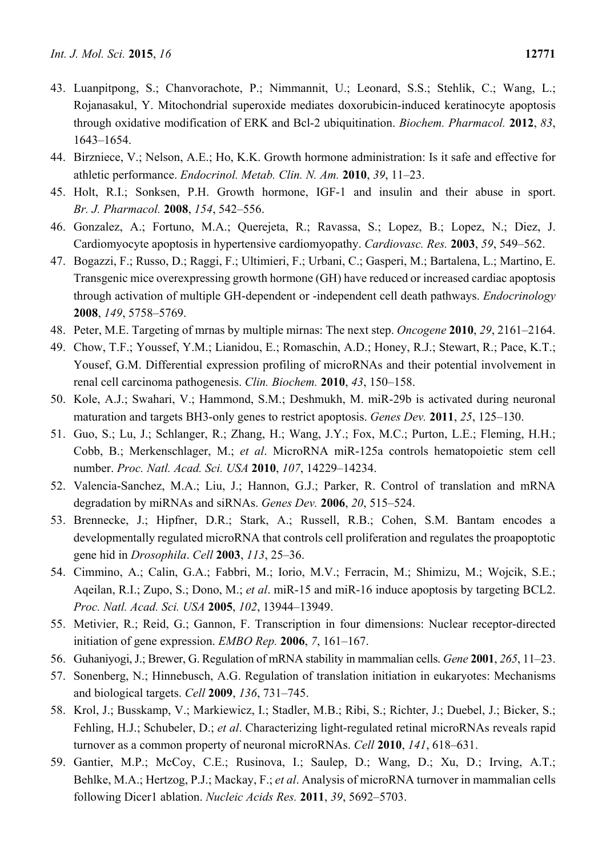- 43. Luanpitpong, S.; Chanvorachote, P.; Nimmannit, U.; Leonard, S.S.; Stehlik, C.; Wang, L.; Rojanasakul, Y. Mitochondrial superoxide mediates doxorubicin-induced keratinocyte apoptosis through oxidative modification of ERK and Bcl-2 ubiquitination. *Biochem. Pharmacol.* **2012**, *83*, 1643–1654.
- 44. Birzniece, V.; Nelson, A.E.; Ho, K.K. Growth hormone administration: Is it safe and effective for athletic performance. *Endocrinol. Metab. Clin. N. Am.* **2010**, *39*, 11–23.
- 45. Holt, R.I.; Sonksen, P.H. Growth hormone, IGF-1 and insulin and their abuse in sport. *Br. J. Pharmacol.* **2008**, *154*, 542–556.
- 46. Gonzalez, A.; Fortuno, M.A.; Querejeta, R.; Ravassa, S.; Lopez, B.; Lopez, N.; Diez, J. Cardiomyocyte apoptosis in hypertensive cardiomyopathy. *Cardiovasc. Res.* **2003**, *59*, 549–562.
- 47. Bogazzi, F.; Russo, D.; Raggi, F.; Ultimieri, F.; Urbani, C.; Gasperi, M.; Bartalena, L.; Martino, E. Transgenic mice overexpressing growth hormone (GH) have reduced or increased cardiac apoptosis through activation of multiple GH-dependent or -independent cell death pathways. *Endocrinology*  **2008**, *149*, 5758–5769.
- 48. Peter, M.E. Targeting of mrnas by multiple mirnas: The next step. *Oncogene* **2010**, *29*, 2161–2164.
- 49. Chow, T.F.; Youssef, Y.M.; Lianidou, E.; Romaschin, A.D.; Honey, R.J.; Stewart, R.; Pace, K.T.; Yousef, G.M. Differential expression profiling of microRNAs and their potential involvement in renal cell carcinoma pathogenesis. *Clin. Biochem.* **2010**, *43*, 150–158.
- 50. Kole, A.J.; Swahari, V.; Hammond, S.M.; Deshmukh, M. miR-29b is activated during neuronal maturation and targets BH3-only genes to restrict apoptosis. *Genes Dev.* **2011**, *25*, 125–130.
- 51. Guo, S.; Lu, J.; Schlanger, R.; Zhang, H.; Wang, J.Y.; Fox, M.C.; Purton, L.E.; Fleming, H.H.; Cobb, B.; Merkenschlager, M.; *et al*. MicroRNA miR-125a controls hematopoietic stem cell number. *Proc. Natl. Acad. Sci. USA* **2010**, *107*, 14229–14234.
- 52. Valencia-Sanchez, M.A.; Liu, J.; Hannon, G.J.; Parker, R. Control of translation and mRNA degradation by miRNAs and siRNAs. *Genes Dev.* **2006**, *20*, 515–524.
- 53. Brennecke, J.; Hipfner, D.R.; Stark, A.; Russell, R.B.; Cohen, S.M. Bantam encodes a developmentally regulated microRNA that controls cell proliferation and regulates the proapoptotic gene hid in *Drosophila*. *Cell* **2003**, *113*, 25–36.
- 54. Cimmino, A.; Calin, G.A.; Fabbri, M.; Iorio, M.V.; Ferracin, M.; Shimizu, M.; Wojcik, S.E.; Aqeilan, R.I.; Zupo, S.; Dono, M.; *et al*. miR-15 and miR-16 induce apoptosis by targeting BCL2. *Proc. Natl. Acad. Sci. USA* **2005**, *102*, 13944–13949.
- 55. Metivier, R.; Reid, G.; Gannon, F. Transcription in four dimensions: Nuclear receptor-directed initiation of gene expression. *EMBO Rep.* **2006**, *7*, 161–167.
- 56. Guhaniyogi, J.; Brewer, G. Regulation of mRNA stability in mammalian cells. *Gene* **2001**, *265*, 11–23.
- 57. Sonenberg, N.; Hinnebusch, A.G. Regulation of translation initiation in eukaryotes: Mechanisms and biological targets. *Cell* **2009**, *136*, 731–745.
- 58. Krol, J.; Busskamp, V.; Markiewicz, I.; Stadler, M.B.; Ribi, S.; Richter, J.; Duebel, J.; Bicker, S.; Fehling, H.J.; Schubeler, D.; *et al*. Characterizing light-regulated retinal microRNAs reveals rapid turnover as a common property of neuronal microRNAs. *Cell* **2010**, *141*, 618–631.
- 59. Gantier, M.P.; McCoy, C.E.; Rusinova, I.; Saulep, D.; Wang, D.; Xu, D.; Irving, A.T.; Behlke, M.A.; Hertzog, P.J.; Mackay, F.; *et al*. Analysis of microRNA turnover in mammalian cells following Dicer1 ablation. *Nucleic Acids Res.* **2011**, *39*, 5692–5703.